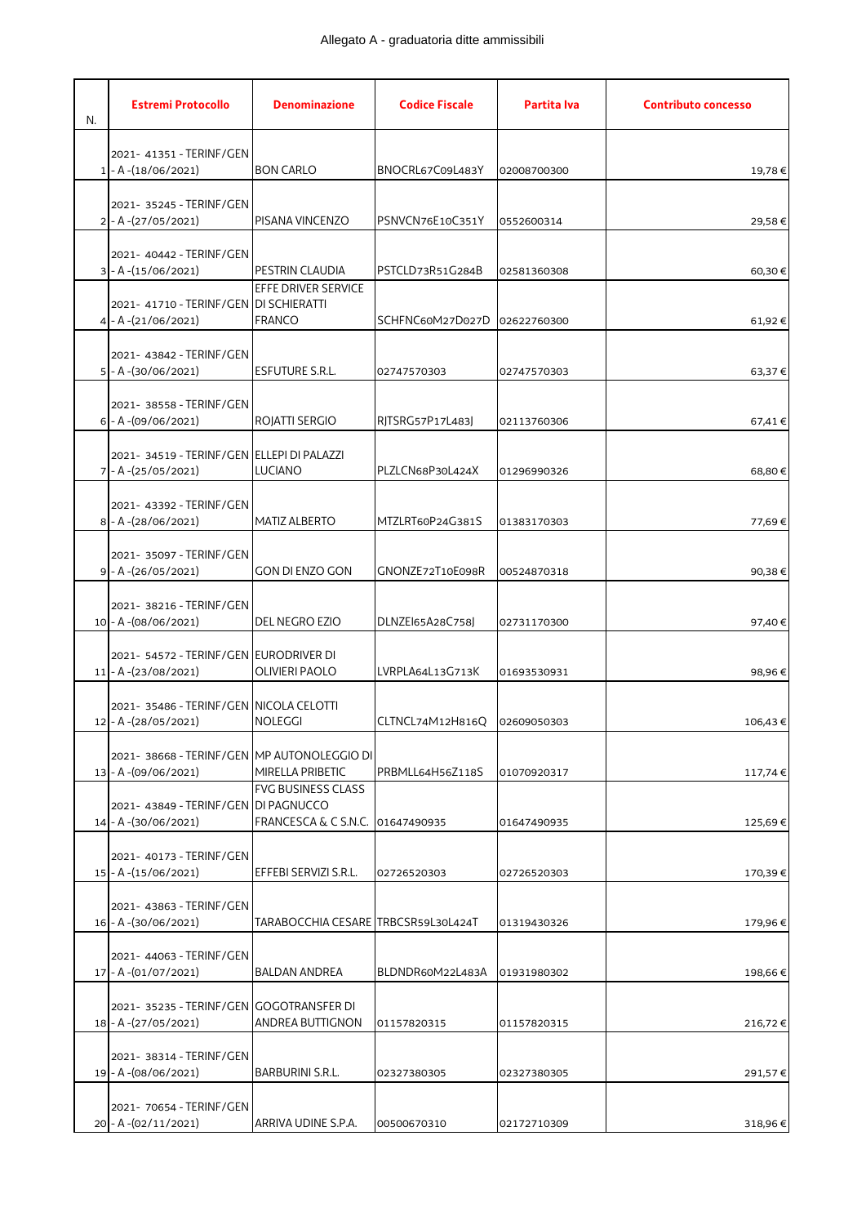| N. | <b>Estremi Protocollo</b>                                           | <b>Denominazione</b>                          | <b>Codice Fiscale</b> | Partita Iva | <b>Contributo concesso</b> |
|----|---------------------------------------------------------------------|-----------------------------------------------|-----------------------|-------------|----------------------------|
|    | 2021-41351-TERINF/GEN<br>$1 - A - (18/06/2021)$                     | <b>BON CARLO</b>                              | BNOCRL67C09L483Y      | 02008700300 | 19,78€                     |
|    | 2021- 35245 - TERINF/GEN<br>$2 - A - (27/05/2021)$                  | PISANA VINCENZO                               | PSNVCN76E10C351Y      | 0552600314  | 29,58€                     |
|    | 2021-40442-TERINF/GEN<br>$3 - A - (15/06/2021)$                     | <b>PESTRIN CLAUDIA</b>                        | PSTCLD73R51G284B      | 02581360308 | 60,30€                     |
|    | 2021-41710 - TERINF/GEN DI SCHIERATTI<br>$4 - A - (21/06/2021)$     | EFFE DRIVER SERVICE<br><b>FRANCO</b>          | SCHFNC60M27D027D      | 02622760300 | 61,92€                     |
|    | 2021-43842 - TERINF/GEN<br>$5 - A - (30/06/2021)$                   | ESFUTURE S.R.L.                               | 02747570303           | 02747570303 | 63,37€                     |
|    | 2021- 38558 - TERINF/GEN<br>6 - A - (09/06/2021)                    | ROJATTI SERGIO                                | RJTSRG57P17L483J      | 02113760306 | 67,41€                     |
|    | 2021-34519 - TERINF/GEN ELLEPI DI PALAZZI<br>$7 - A - (25/05/2021)$ | LUCIANO                                       | PLZLCN68P30L424X      | 01296990326 | 68,80€                     |
|    | 2021-43392 - TERINF/GEN<br>8 - A -(28/06/2021)                      | <b>MATIZ ALBERTO</b>                          | MTZLRT60P24G381S      | 01383170303 | 77,69€                     |
|    | 2021- 35097 - TERINF/GEN<br>$9 - A - (26/05/2021)$                  | GON DI ENZO GON                               | GNONZE72T10E098R      | 00524870318 | 90,38€                     |
|    | 2021- 38216 - TERINF/GEN<br>10 - A - (08/06/2021)                   | DEL NEGRO EZIO                                | DLNZEI65A28C758J      | 02731170300 | 97,40€                     |
|    | 2021- 54572 - TERINF/GEN EURODRIVER DI<br>11 - A -(23/08/2021)      | OLIVIERI PAOLO                                | LVRPLA64L13G713K      | 01693530931 | 98,96€                     |
|    | 2021-35486 - TERINF/GEN NICOLA CELOTTI<br>12 - A -(28/05/2021)      | <b>NOLEGGI</b>                                | CLTNCL74M12H816Q      | 02609050303 | 106,43€                    |
|    | 2021-38668 - TERINF/GEN MP AUTONOLEGGIO DI<br>13 - A - (09/06/2021) | MIRELLA PRIBETIC<br><b>FVG BUSINESS CLASS</b> | PRBMLL64H56Z118S      | 01070920317 | 117,74€                    |
|    | 2021-43849 - TERINF/GEN DI PAGNUCCO<br>14 - A -(30/06/2021)         | FRANCESCA & C S.N.C.                          | 01647490935           | 01647490935 | 125,69€                    |
|    | 2021-40173 - TERINF/GEN<br>$15 - A - (15/06/2021)$                  | EFFEBI SERVIZI S.R.L.                         | 02726520303           | 02726520303 | 170,39€                    |
|    | 2021-43863 - TERINF/GEN<br>$16 - A - (30/06/2021)$                  | TARABOCCHIA CESARE TRBCSR59L30L424T           |                       | 01319430326 | 179,96€                    |
|    | 2021-44063 - TERINF/GEN<br>17 - A - (01/07/2021)                    | <b>BALDAN ANDREA</b>                          | BLDNDR60M22L483A      | 01931980302 | 198,66€                    |
|    | 2021-35235 - TERINF/GEN GOGOTRANSFER DI<br>18 - A -(27/05/2021)     | ANDREA BUTTIGNON                              | 01157820315           | 01157820315 | 216,72€                    |
|    | 2021-38314 - TERINF/GEN<br>19 - A - (08/06/2021)                    | <b>BARBURINI S.R.L.</b>                       | 02327380305           | 02327380305 | 291,57€                    |
|    | 2021- 70654 - TERINF/GEN<br>20 - A -(02/11/2021)                    | ARRIVA UDINE S.P.A.                           | 00500670310           | 02172710309 | 318,96€                    |